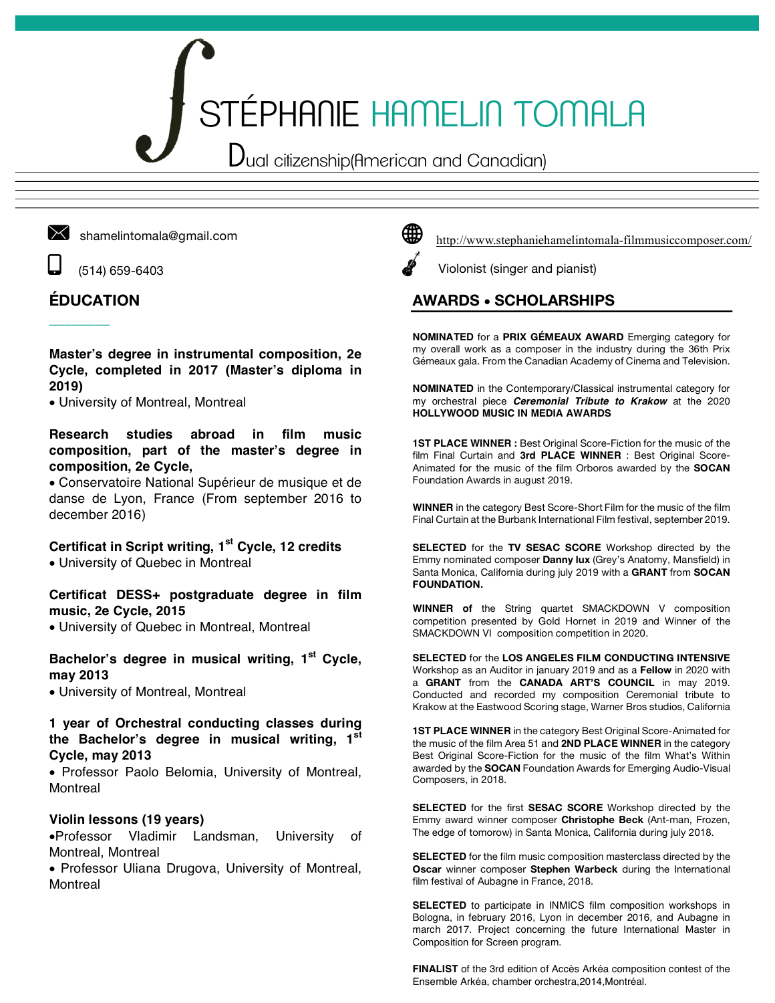# STÉPHANIE HAMELIN TOMALA

Dual citizenship(American and Canadian)



shamelintomala@gmail.com

z (514) 659-6403

## **ÉDUCATION**

 $\overline{\phantom{a}}$ 

#### **Master's degree in instrumental composition, 2e Cycle, completed in 2017 (Master's diploma in 2019)**

• University of Montreal, Montreal

#### **Research studies abroad in film music composition, part of the master's degree in composition, 2e Cycle,**

• Conservatoire National Supérieur de musique et de danse de Lyon, France (From september 2016 to december 2016)

### **Certificat in Script writing, 1st Cycle, 12 credits**

• University of Quebec in Montreal

**Certificat DESS+ postgraduate degree in film music, 2e Cycle, 2015**

• University of Quebec in Montreal, Montreal

#### **Bachelor's degree in musical writing, 1st Cycle, may 2013**

• University of Montreal, Montreal

#### **1 year of Orchestral conducting classes during the Bachelor's degree in musical writing, 1st Cycle, may 2013**

• Professor Paolo Belomia, University of Montreal, Montreal

#### **Violin lessons (19 years)**

•Professor Vladimir Landsman, University of Montreal, Montreal

• Professor Uliana Drugova, University of Montreal, **Montreal** 



Violonist (singer and pianist)

## **AWARDS** • **SCHOLARSHIPS**

**NOMINATED** for a **PRIX GÉMEAUX AWARD** Emerging category for my overall work as a composer in the industry during the 36th Prix Gémeaux gala. From the Canadian Academy of Cinema and Television.

**NOMINATED** in the Contemporary/Classical instrumental category for my orchestral piece *Ceremonial Tribute to Krakow* at the 2020 **HOLLYWOOD MUSIC IN MEDIA AWARDS**

**1ST PLACE WINNER :** Best Original Score-Fiction for the music of the film Final Curtain and **3rd PLACE WINNER** : Best Original Score-Animated for the music of the film Orboros awarded by the **SOCAN** Foundation Awards in august 2019.

**WINNER** in the category Best Score-Short Film for the music of the film Final Curtain at the Burbank International Film festival, september 2019.

**SELECTED** for the **TV SESAC SCORE** Workshop directed by the Emmy nominated composer **Danny lux** (Grey's Anatomy, Mansfield) in Santa Monica, California during july 2019 with a **GRANT** from **SOCAN FOUNDATION.**

**WINNER of** the String quartet SMACKDOWN V composition competition presented by Gold Hornet in 2019 and Winner of the SMACKDOWN VI composition competition in 2020.

**SELECTED** for the **LOS ANGELES FILM CONDUCTING INTENSIVE** Workshop as an Auditor in january 2019 and as a **Fellow** in 2020 with a **GRANT** from the **CANADA ART'S COUNCIL** in may 2019. Conducted and recorded my composition Ceremonial tribute to Krakow at the Eastwood Scoring stage, Warner Bros studios, California

**1ST PLACE WINNER** in the category Best Original Score-Animated for the music of the film Area 51 and **2ND PLACE WINNER** in the category Best Original Score-Fiction for the music of the film What's Within awarded by the **SOCAN** Foundation Awards for Emerging Audio-Visual Composers, in 2018.

**SELECTED** for the first **SESAC SCORE** Workshop directed by the Emmy award winner composer **Christophe Beck** (Ant-man, Frozen, The edge of tomorow) in Santa Monica, California during july 2018.

**SELECTED** for the film music composition masterclass directed by the **Oscar** winner composer **Stephen Warbeck** during the International film festival of Aubagne in France, 2018.

**SELECTED** to participate in INMICS film composition workshops in Bologna, in february 2016, Lyon in december 2016, and Aubagne in march 2017. Project concerning the future International Master in Composition for Screen program.

**FINALIST** of the 3rd edition of Accès Arkéa composition contest of the Ensemble Arkéa, chamber orchestra,2014,Montréal.